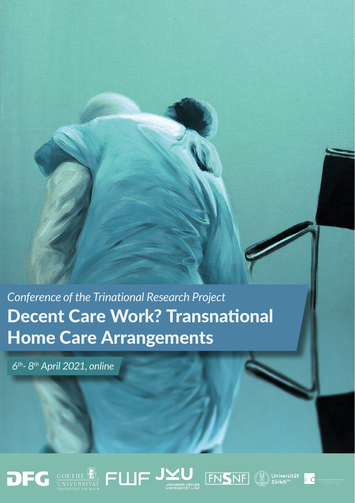*Conference of the Trinational Research Project* Decent Care Work? Transnational Home Care Arrangements

*6th- 8th April 2021, online*











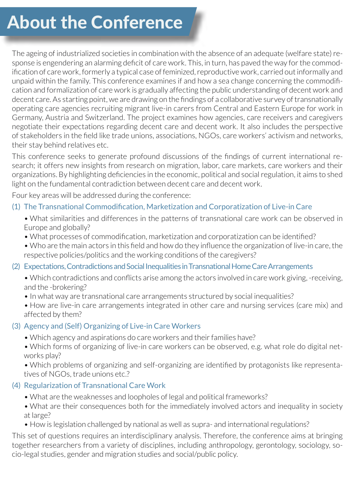# About the Conference

The ageing of industrialized societies in combination with the absence of an adequate (welfare state) response is engendering an alarming deficit of care work. This, in turn, has paved the way for the commodification of care work, formerly a typical case of feminized, reproductive work, carried out informally and unpaid within the family. This conference examines if and how a sea change concerning the commodification and formalization of care work is gradually affecting the public understanding of decent work and decent care. As starting point, we are drawing on the findings of a collaborative survey of transnationally operating care agencies recruiting migrant live-in carers from Central and Eastern Europe for work in Germany, Austria and Switzerland. The project examines how agencies, care receivers and caregivers negotiate their expectations regarding decent care and decent work. It also includes the perspective of stakeholders in the field like trade unions, associations, NGOs, care workers' activism and networks, their stay behind relatives etc.

This conference seeks to generate profound discussions of the findings of current international research; it offers new insights from research on migration, labor, care markets, care workers and their organizations. By highlighting deficiencies in the economic, political and social regulation, it aims to shed light on the fundamental contradiction between decent care and decent work.

Four key areas will be addressed during the conference:

# (1) The Transnational Commodification, Marketization and Corporatization of Live-in Care

- What similarities and differences in the patterns of transnational care work can be observed in Europe and globally?
- What processes of commodification, marketization and corporatization can be identified?
- Who are the main actors in this field and how do they influence the organization of live-in care, the respective policies/politics and the working conditions of the caregivers?
- (2) Expectations, Contradictions and Social Inequalities in Transnational Home Care Arrangements
	- Which contradictions and conflicts arise among the actors involved in care work giving, -receiving, and the -brokering?
	- In what way are transnational care arrangements structured by social inequalities?
	- How are live-in care arrangements integrated in other care and nursing services (care mix) and affected by them?

# (3) Agency and (Self) Organizing of Live-in Care Workers

- Which agency and aspirations do care workers and their families have?
- Which forms of organizing of live-in care workers can be observed, e.g. what role do digital networks play?

• Which problems of organizing and self-organizing are identified by protagonists like representatives of NGOs, trade unions etc.?

# (4) Regularization of Transnational Care Work

- What are the weaknesses and loopholes of legal and political frameworks?
- What are their consequences both for the immediately involved actors and inequality in society at large?
- How is legislation challenged by national as well as supra- and international regulations?

This set of questions requires an interdisciplinary analysis. Therefore, the conference aims at bringing together researchers from a variety of disciplines, including anthropology, gerontology, sociology, socio-legal studies, gender and migration studies and social/public policy.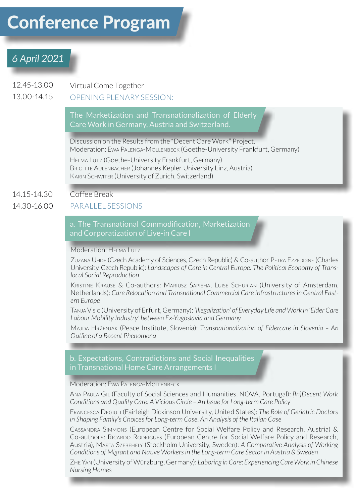# Conference Program

# *6 April 2021*

12.45-13.00 Virtual Come Together

#### 13.00-14.15 OPENING PLENARY SESSION:

The Marketization and Transnationalization of Elderly Care Work in Germany, Austria and Switzerland.

Discussion on the Results from the "Decent Care Work" Project. Moderation: Ewa Palenga-Möllenbeck (Goethe-University Frankfurt, Germany) Helma Lutz (Goethe-University Frankfurt, Germany) BRIGITTE AULENBACHER (Johannes Kepler University Linz, Austria) Karin Schwiter (University of Zurich, Switzerland)

#### 14.15-14.30 Coffee Break

#### 14.30-16.00 PARALLEL SESSIONS

a. The Transnational Commodification, Marketization and Corporatization of Live-in Care I

#### Moderation: HELMA LUTZ

Zuzana Uhde (Czech Academy of Sciences, Czech Republic) & Co-author Petra Ezzeddine (Charles University, Czech Republic): *Landscapes of Care in Central Europe: The Political Economy of Translocal Social Reproduction*

Kristine Krause & Co-authors: Mariusz Sapieha, Luise Schurian (University of Amsterdam, Netherlands): *Care Relocation and Transnational Commercial Care Infrastructures in Central Eastern Europe*

Tanja Visic (University of Erfurt, Germany): *'Illegalization' of Everyday Life and Work in 'Elder Care Labour Mobility Industry' between Ex-Yugoslavia and Germany*

Majda Hrženjak (Peace Institute, Slovenia): *Transnationalization of Eldercare in Slovenia – An Outline of a Recent Phenomena*

in Transnational Home Care Arrangements I

#### Moderation: EWA PALENGA-MÖLLENBECK

Ana Paula Gil (Faculty of Social Sciences and Humanities, NOVA, Portugal): *[In]Decent Work Conditions and Quality Care: A Vicious Circle – An Issue for Long-term Care Policy*

Francesca Degiuli (Fairleigh Dickinson University, United States): *The Role of Geriatric Doctors in Shaping Family's Choices for Long-term Case. An Analysis of the Italian Case*

Cassandra Simmons (European Centre for Social Welfare Policy and Research, Austria) & Co-authors: Ricardo Rodrigues (European Centre for Social Welfare Policy and Research, Austria), Marta Szebehely (Stockholm University, Sweden): *A Comparative Analysis of Working Conditions of Migrant and Native Workers in the Long-term Care Sector in Austria & Sweden*

Zhe Yan (University of Würzburg, Germany): *Laboring in Care: Experiencing Care Work in Chinese Nursing Homes*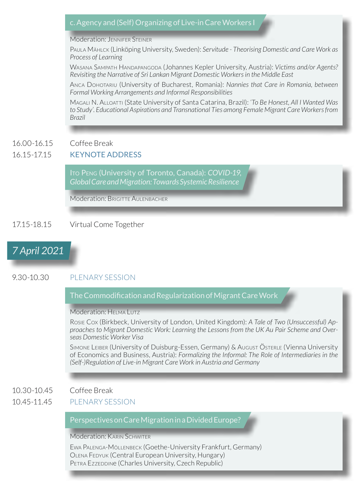# c. Agency and (Self) Organizing of Live-in Care Workers I

## Moderation: JENNIFER STEINER

Paula Mählck (Linköping University, Sweden): *Servitude - Theorising Domestic and Care Work as Process of Learning*

Wasana Sampath Handapangoda (Johannes Kepler University, Austria): *Victims and/or Agents? Revisiting the Narrative of Sri Lankan Migrant Domestic Workers in the Middle East*

Anca Dohotariu (University of Bucharest, Romania): *Nannies that Care in Romania, between Formal Working Arrangements and Informal Responsibilities*

Magali N. Alloatti (State University of Santa Catarina, Brazil): *'To Be Honest, All I Wanted Was to Study'. Educational Aspirations and Transnational Ties among Female Migrant Care Workers from Brazil*

#### 16.00-16.15 Coffee Break

#### 16.15-17.15 KEYNOTE ADDRESS

Ito Peng (University of Toronto, Canada): *COVID-19, Global Care and Migration: Towards Systemic Resilience*

Moderation: BRIGITTE AUI ENBACHER

### 17.15-18.15 Virtual Come Together

# *7 April 2021*

# 9.30-10.30 PLENARY SESSION

### The Commodification and Regularization of Migrant Care Work

#### Moderation: HELMA LUTZ

Rosie Cox (Birkbeck, University of London, United Kingdom): *A Tale of Two (Unsuccessful) Approaches to Migrant Domestic Work: Learning the Lessons from the UK Au Pair Scheme and Overseas Domestic Worker Visa*

Simone Leiber (University of Duisburg-Essen, Germany) & August Österle (Vienna University of Economics and Business, Austria): *Formalizing the Informal: The Role of Intermediaries in the (Self-)Regulation of Live-in Migrant Care Work in Austria and Germany*

#### 10.30-10.45 Coffee Break

#### 10.45-11.45 PLENARY SESSION

#### Perspectives on Care Migration in a Divided Europe?

Moderation: KARIN SCHWITER

Ewa Palenga-Möllenbeck (Goethe-University Frankfurt, Germany) Olena Fedyuk (Central European University, Hungary) PETRA Ezzeddine (Charles University, Czech Republic)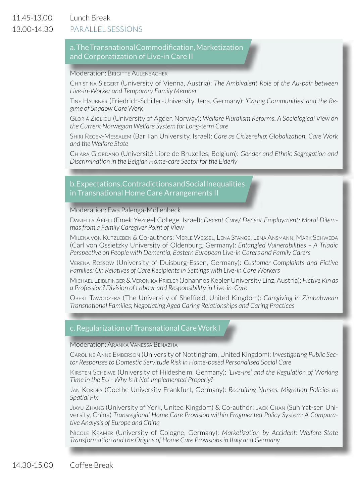11.45-13.00 Lunch Break

#### 13.00-14.30 PARALLEL SESSIONS

### a. The Transnational Commodification, Marketization and Corporatization of Live-in Care II

#### Moderation: BRIGITTE AULENBACHER

Christina Siegert (University of Vienna, Austria): *The Ambivalent Role of the Au-pair between Live-in-Worker and Temporary Family Member*

Tine Haubner (Friedrich-Schiller-University Jena, Germany): *'Caring Communities' and the Regime of Shadow Care Work*

Gloria Ziglioli (University of Agder, Norway): *Welfare Pluralism Reforms. A Sociological View on the Current Norwegian Welfare System for Long-term Care*

Shiri Regev-Messalem (Bar Ilan University, Israel): *Care as Citizenship: Globalization, Care Work and the Welfare State*

Chiara Giordano (Université Libre de Bruxelles, Belgium): *Gender and Ethnic Segregation and Discrimination in the Belgian Home-care Sector for the Elderly*

#### b. Expectations, Contradictions and Social Inequalities in Transnational Home Care Arrangements II

#### Moderation: Ewa Palenga-Möllenbeck

Daniella Arieli (Emek Yezreel College, Israel): *Decent Care/ Decent Employment: Moral Dilemmas from a Family Caregiver Point of View*

Milena von Kutzleben & Co-authors: Merle Wessel, Lena Stange, Lena Ansmann, Mark Schweda (Carl von Ossietzky University of Oldenburg, Germany): *Entangled Vulnerabilities – A Triadic Perspective on People with Dementia, Eastern European Live-in Carers and Family Carers*

Verena Rossow (University of Duisburg-Essen, Germany): *Customer Complaints and Fictive Families: On Relatives of Care Recipients in Settings with Live-in Care Workers* 

Michael Leiblfinger & Veronika Prieler (Johannes Kepler University Linz, Austria): *Fictive Kin as a Profession? Division of Labour and Responsibility in Live-in-Care*

Obert Tawodzera (The University of Sheffield, United Kingdom): *Caregiving in Zimbabwean Transnational Families; Negotiating Aged Caring Relationships and Caring Practices*

### c. Regularization of Transnational Care Work I

#### Moderation: Aranka Vanessa Benazha

Caroline Anne Emberson (University of Nottingham, United Kingdom): *Investigating Public Sector Responses to Domestic Servitude Risk in Home-based Personalised Social Care*

Kirsten Scheiwe (University of Hildesheim, Germany): *'Live-ins' and the Regulation of Working Time in the EU - Why Is it Not Implemented Properly?*

Jan Kordes (Goethe University Frankfurt, Germany): *Recruiting Nurses: Migration Policies as Spatial Fix*

Jiayu Zhang (University of York, United Kingdom) & Co-author: Jack Chan (Sun Yat-sen University, China) *Transregional Home Care Provision within Fragmented Policy System: A Comparative Analysis of Europe and China*

Nicole Kramer (University of Cologne, Germany): *Marketization by Accident: Welfare State Transformation and the Origins of Home Care Provisions in Italy and Germany*

14.30-15.00 Coffee Break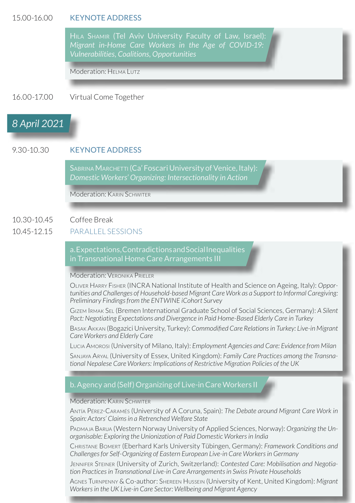#### 15.00-16.00 KEYNOTE ADDRESS

Hila Shamir (Tel Aviv University Faculty of Law, Israel): *Migrant in-Home Care Workers in the Age of COVID-19: Vulnerabilities, Coalitions, Opportunities*

Moderation: HELMA LUTZ

16.00-17.00 Virtual Come Together

# *8 April 2021*

## 9.30-10.30 KEYNOTE ADDRESS

SABRINA MARCHETTI (Ca' Foscari University of Venice, Italy): *Domestic Workers' Organizing: Intersectionality in Action*

Moderation: KARIN SCHWITER

#### 10.30-10.45 Coffee Break

#### 10.45-12.15 PARALLEL SESSIONS

a. Expectations, Contradictions and Social Inequalities in Transnational Home Care Arrangements III

Moderation: VERONIKA PRIELER

Oliver Harry Fisher (INCRA National Institute of Health and Science on Ageing, Italy): *Opportunities and Challenges of Household-based Migrant Care Work as a Support to Informal Caregiving: Preliminary Findings from the ENTWINE iCohort Survey*

Gizem Irmak Sel (Bremen International Graduate School of Social Sciences, Germany): *A Silent Pact: Negotiating Expectations and Divergence in Paid Home-Based Elderly Care in Turkey*

Basak Akkan (Bogazici University, Turkey): *Commodified Care Relations in Turkey: Live-in Migrant Care Workers and Elderly Care*

Lucia Amorosi (University of Milano, Italy): *Employment Agencies and Care: Evidence from Milan*

Sanjaya Aryal (University of Essex, United Kingdom): *Family Care Practices among the Transnational Nepalese Care Workers: Implications of Restrictive Migration Policies of the UK*

#### b. Agency and (Self) Organizing of Live-in Care Workers II

#### Moderation: KARIN SCHWITER

Antía Pérez-Caramés (University of A Coruna, Spain): *The Debate around Migrant Care Work in Spain: Actors' Claims in a Retrenched Welfare State*

Padmaja Barua (Western Norway University of Applied Sciences, Norway): *Organizing the Unorganisable: Exploring the Unionization of Paid Domestic Workers in India*

Christane Bomert (Eberhard Karls University Tübingen, Germany): *Framework Conditions and Challenges for Self-Organizing of Eastern European Live-in Care Workers in Germany*

Jennifer Steiner (University of Zurich, Switzerland): *Contested Care: Mobilisation and Negotiation Practices in Transnational Live-in Care Arrangements in Swiss Private Households*

Agnes Turnpenny & Co-author: Shereen Hussein (University of Kent, United Kingdom): *Migrant Workers in the UK Live-in Care Sector: Wellbeing and Migrant Agency*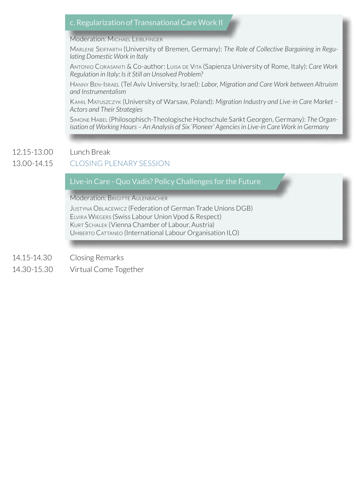# c. Regularization of Transnational Care Work II

#### Moderation: Michael LEIBLEINGER

Marlene Seiffarth (University of Bremen, Germany): *The Role of Collective Bargaining in Regulating Domestic Work in Italy*

Antonio Corasaniti & Co-author: Luisa de Vita (Sapienza University of Rome, Italy): *Care Work Regulation in Italy: Is it Still an Unsolved Problem?*

Hanny Ben-Israel (Tel Aviv University, Israel): *Labor, Migration and Care Work between Altruism and Instrumentalism*

Kamil Matuszczyk (University of Warsaw, Poland): *Migration Industry and Live-in Care Market – Actors and Their Strategies*

Simone Habel (Philosophisch-Theologische Hochschule Sankt Georgen, Germany): *The Organisation of Working Hours – An Analysis of Six 'Pioneer' Agencies in Live-in Care Work in Germany*

#### 12.15-13.00 Lunch Break

#### 13.00-14.15 CLOSING PLENARY SESSION

Live-in Care - Quo Vadis? Policy Challenges for the Future

Moderation: BRIGITTE AULENBACHER

Justyna Oblacewicz (Federation of German Trade Unions DGB) Elvira Wiegers (Swiss Labour Union Vpod & Respect) Kurt Schalek (Vienna Chamber of Labour, Austria) Umberto Cattaneo (International Labour Organisation ILO)

14.15-14.30 Closing Remarks

14.30-15.30 Virtual Come Together